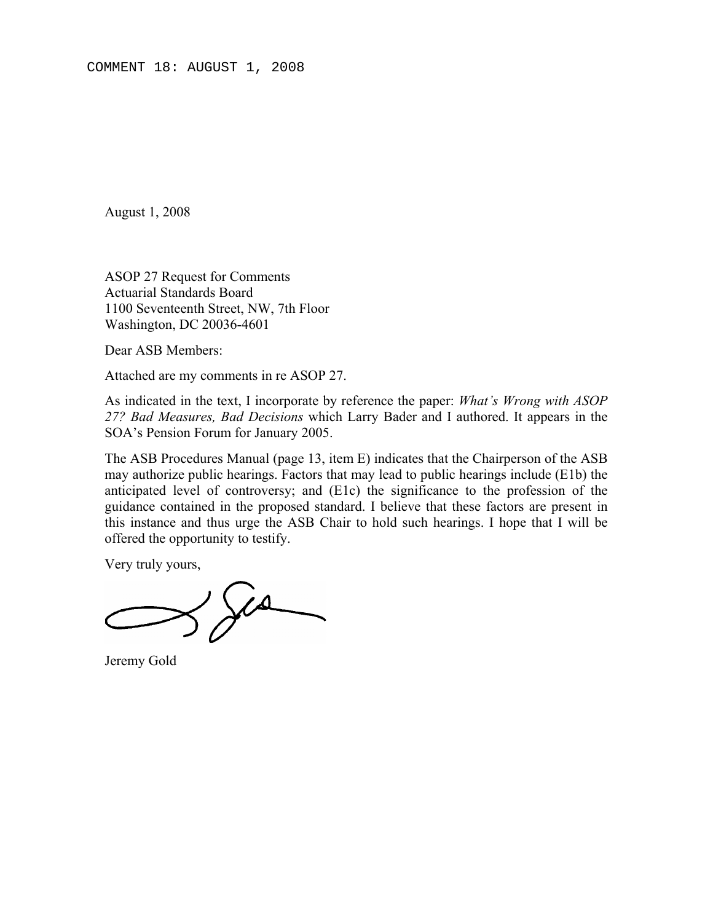August 1, 2008

ASOP 27 Request for Comments Actuarial Standards Board 1100 Seventeenth Street, NW, 7th Floor Washington, DC 20036-4601

Dear ASB Members:

Attached are my comments in re ASOP 27.

As indicated in the text, I incorporate by reference the paper: *What's Wrong with ASOP 27? Bad Measures, Bad Decisions* which Larry Bader and I authored. It appears in the SOA's Pension Forum for January 2005.

The ASB Procedures Manual (page 13, item E) indicates that the Chairperson of the ASB may authorize public hearings. Factors that may lead to public hearings include (E1b) the anticipated level of controversy; and (E1c) the significance to the profession of the guidance contained in the proposed standard. I believe that these factors are present in this instance and thus urge the ASB Chair to hold such hearings. I hope that I will be offered the opportunity to testify.

Very truly yours,

 $380$ 

Jeremy Gold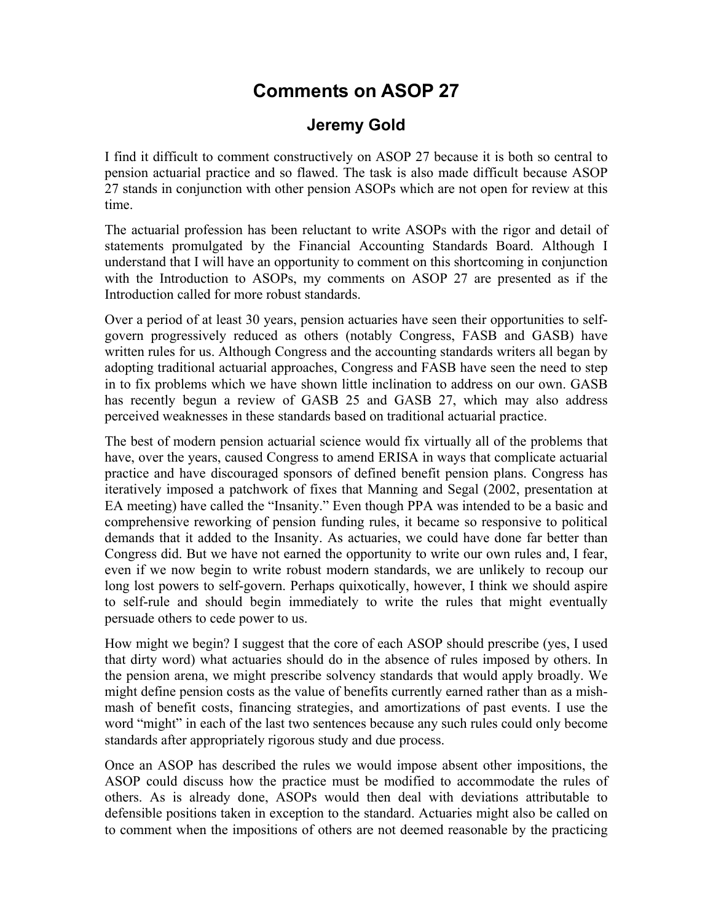## **Comments on ASOP 27**

## **Jeremy Gold**

I find it difficult to comment constructively on ASOP 27 because it is both so central to pension actuarial practice and so flawed. The task is also made difficult because ASOP 27 stands in conjunction with other pension ASOPs which are not open for review at this time.

The actuarial profession has been reluctant to write ASOPs with the rigor and detail of statements promulgated by the Financial Accounting Standards Board. Although I understand that I will have an opportunity to comment on this shortcoming in conjunction with the Introduction to ASOPs, my comments on ASOP 27 are presented as if the Introduction called for more robust standards.

Over a period of at least 30 years, pension actuaries have seen their opportunities to selfgovern progressively reduced as others (notably Congress, FASB and GASB) have written rules for us. Although Congress and the accounting standards writers all began by adopting traditional actuarial approaches, Congress and FASB have seen the need to step in to fix problems which we have shown little inclination to address on our own. GASB has recently begun a review of GASB 25 and GASB 27, which may also address perceived weaknesses in these standards based on traditional actuarial practice.

The best of modern pension actuarial science would fix virtually all of the problems that have, over the years, caused Congress to amend ERISA in ways that complicate actuarial practice and have discouraged sponsors of defined benefit pension plans. Congress has iteratively imposed a patchwork of fixes that Manning and Segal (2002, presentation at EA meeting) have called the "Insanity." Even though PPA was intended to be a basic and comprehensive reworking of pension funding rules, it became so responsive to political demands that it added to the Insanity. As actuaries, we could have done far better than Congress did. But we have not earned the opportunity to write our own rules and, I fear, even if we now begin to write robust modern standards, we are unlikely to recoup our long lost powers to self-govern. Perhaps quixotically, however, I think we should aspire to self-rule and should begin immediately to write the rules that might eventually persuade others to cede power to us.

How might we begin? I suggest that the core of each ASOP should prescribe (yes, I used that dirty word) what actuaries should do in the absence of rules imposed by others. In the pension arena, we might prescribe solvency standards that would apply broadly. We might define pension costs as the value of benefits currently earned rather than as a mishmash of benefit costs, financing strategies, and amortizations of past events. I use the word "might" in each of the last two sentences because any such rules could only become standards after appropriately rigorous study and due process.

Once an ASOP has described the rules we would impose absent other impositions, the ASOP could discuss how the practice must be modified to accommodate the rules of others. As is already done, ASOPs would then deal with deviations attributable to defensible positions taken in exception to the standard. Actuaries might also be called on to comment when the impositions of others are not deemed reasonable by the practicing